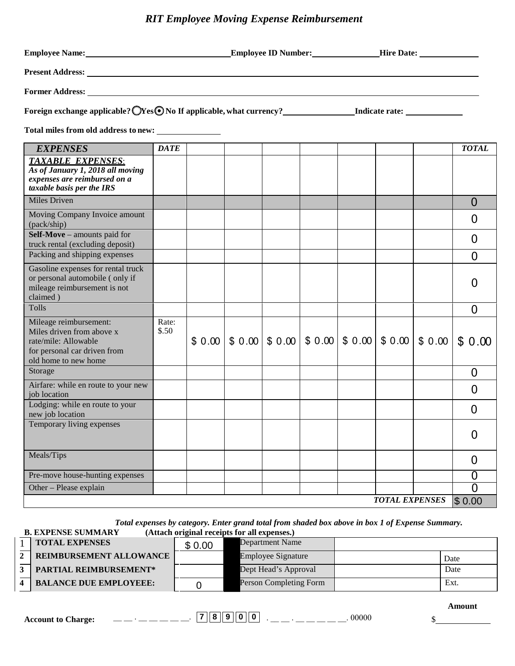# *RIT Employee Moving Expense Reimbursement*

| <b>EXPENSES</b>                                                                                                                     | <b>DATE</b>    |  |                                                           |  |  |                       |        | <b>TOTAL</b>      |
|-------------------------------------------------------------------------------------------------------------------------------------|----------------|--|-----------------------------------------------------------|--|--|-----------------------|--------|-------------------|
| <b>TAXABLE EXPENSES:</b><br>As of January 1, 2018 all moving<br>expenses are reimbursed on a<br>taxable basis per the IRS           |                |  |                                                           |  |  |                       |        |                   |
| Miles Driven                                                                                                                        |                |  |                                                           |  |  |                       |        | $\Omega$          |
| Moving Company Invoice amount<br>(pack/ship)                                                                                        |                |  |                                                           |  |  |                       |        | $\overline{0}$    |
| Self-Move - amounts paid for<br>truck rental (excluding deposit)                                                                    |                |  |                                                           |  |  |                       |        | $\overline{0}$    |
| Packing and shipping expenses                                                                                                       |                |  |                                                           |  |  |                       |        | $\overline{0}$    |
| Gasoline expenses for rental truck<br>or personal automobile (only if<br>mileage reimbursement is not<br>claimed)                   |                |  |                                                           |  |  |                       |        | O                 |
| Tolls                                                                                                                               |                |  |                                                           |  |  |                       |        | $\overline{0}$    |
| Mileage reimbursement:<br>Miles driven from above x<br>rate/mile: Allowable<br>for personal car driven from<br>old home to new home | Rate:<br>\$.50 |  | $$0.00$   \$ 0.00   \$ 0.00   \$ 0.00   \$ 0.00   \$ 0.00 |  |  |                       | \$0.00 | \$0.00            |
| Storage                                                                                                                             |                |  |                                                           |  |  |                       |        | $\overline{0}$    |
| Airfare: while en route to your new<br>job location                                                                                 |                |  |                                                           |  |  |                       |        | 0                 |
| Lodging: while en route to your<br>new job location                                                                                 |                |  |                                                           |  |  |                       |        | $\mathbf{\Omega}$ |
| Temporary living expenses                                                                                                           |                |  |                                                           |  |  |                       |        | 0                 |
| Meals/Tips                                                                                                                          |                |  |                                                           |  |  |                       |        | 0                 |
| Pre-move house-hunting expenses                                                                                                     |                |  |                                                           |  |  |                       |        | 0                 |
| Other - Please explain                                                                                                              |                |  |                                                           |  |  |                       |        | 0                 |
|                                                                                                                                     |                |  |                                                           |  |  | <b>TOTAL EXPENSES</b> |        | \$0.00            |

#### *Total expenses by category. Enter grand total from shaded box above in box 1 of Expense Summary.*  $\dot{A}$  **(Attach original receipts for all expenses.)**

| <b>TOTAL EXPENSES</b>          | \$0.00 | Department Name           |      |
|--------------------------------|--------|---------------------------|------|
| <b>REIMBURSEMENT ALLOWANCE</b> |        | <b>Employee Signature</b> | Date |
| <b>PARTIAL REIMBURSEMENT*</b>  |        | Dept Head's Approval      | Date |
| <b>BALANCE DUE EMPLOYEEE:</b>  |        | Person Completing Form    | Ext. |

| Account<br>to.<br>`roe`<br>∶nя |  |  | O |  |  |
|--------------------------------|--|--|---|--|--|
|--------------------------------|--|--|---|--|--|

 $\overline{a}$ 

**Amount**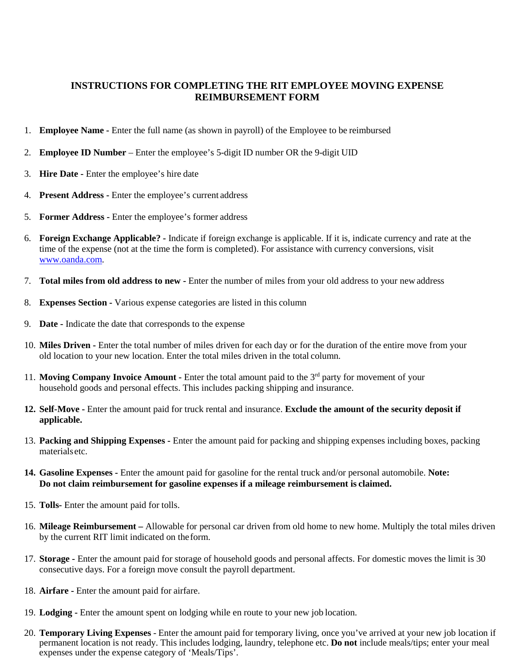## **INSTRUCTIONS FOR COMPLETING THE RIT EMPLOYEE MOVING EXPENSE REIMBURSEMENT FORM**

- 1. **Employee Name** Enter the full name (as shown in payroll) of the Employee to be reimbursed
- 2. **Employee ID Number**  Enter the employee's 5-digit ID number OR the 9-digit UID
- 3. **Hire Date** Enter the employee's hire date
- 4. **Present Address** Enter the employee's current address
- 5. **Former Address** Enter the employee's former address
- 6. **Foreign Exchange Applicable?** Indicate if foreign exchange is applicable. If it is, indicate currency and rate at the time of the expense (not at the time the form is completed). For assistance with currency conversions, visit [www.oanda.com.](http://www.oanda.com/)
- 7. **Total miles from old address to new** Enter the number of miles from your old address to your new address
- 8. **Expenses Section** Various expense categories are listed in this column
- 9. **Date** Indicate the date that corresponds to the expense
- 10. **Miles Driven** Enter the total number of miles driven for each day or for the duration of the entire move from your old location to your new location. Enter the total miles driven in the total column.
- 11. **Moving Company Invoice Amount** Enter the total amount paid to the 3rd party for movement of your household goods and personal effects. This includes packing shipping and insurance.
- **12. Self-Move** Enter the amount paid for truck rental and insurance. **Exclude the amount of the security deposit if applicable.**
- 13. **Packing and Shipping Expenses** Enter the amount paid for packing and shipping expenses including boxes, packing materialsetc.
- **14. Gasoline Expenses** Enter the amount paid for gasoline for the rental truck and/or personal automobile. **Note: Do not claim reimbursement for gasoline expenses if a mileage reimbursement is claimed.**
- 15. **Tolls-** Enter the amount paid for tolls.
- 16. **Mileage Reimbursement** Allowable for personal car driven from old home to new home. Multiply the total miles driven by the current RIT limit indicated on theform.
- 17. **Storage** Enter the amount paid for storage of household goods and personal affects. For domestic moves the limit is 30 consecutive days. For a foreign move consult the payroll department.
- 18. **Airfare** Enter the amount paid for airfare.
- 19. **Lodging** Enter the amount spent on lodging while en route to your new job location.
- 20. **Temporary Living Expenses** Enter the amount paid for temporary living, once you've arrived at your new job location if permanent location is not ready. This includes lodging, laundry, telephone etc. **Do not** include meals/tips; enter your meal expenses under the expense category of 'Meals/Tips'.